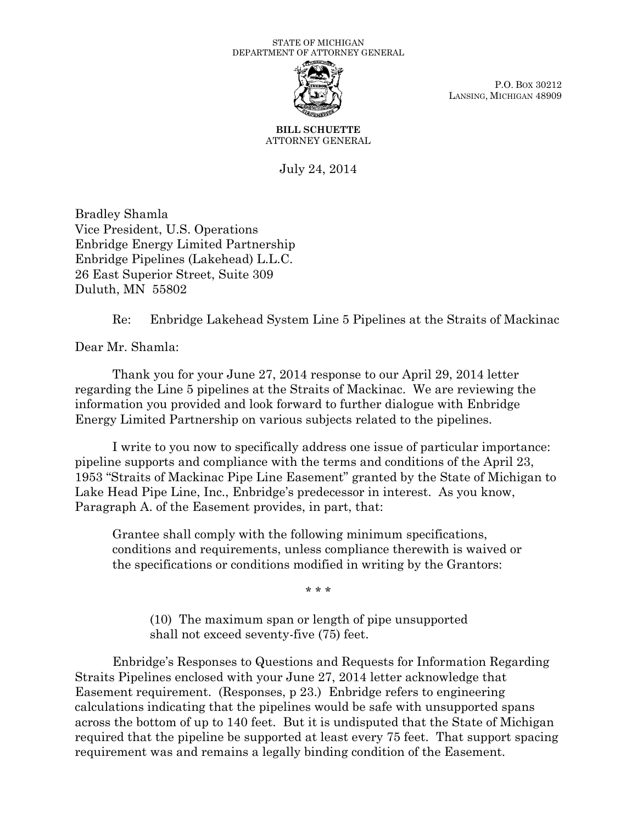

P.O. BOX 30212 LANSING, MICHIGAN 48909

**BILL SCHUETTE** ATTORNEY GENERAL

July 24, 2014

Bradley Shamla Vice President, U.S. Operations Enbridge Energy Limited Partnership Enbridge Pipelines (Lakehead) L.L.C. 26 East Superior Street, Suite 309 Duluth, MN 55802

Re: Enbridge Lakehead System Line 5 Pipelines at the Straits of Mackinac

Dear Mr. Shamla:

Thank you for your June 27, 2014 response to our April 29, 2014 letter regarding the Line 5 pipelines at the Straits of Mackinac. We are reviewing the information you provided and look forward to further dialogue with Enbridge Energy Limited Partnership on various subjects related to the pipelines.

I write to you now to specifically address one issue of particular importance: pipeline supports and compliance with the terms and conditions of the April 23, 1953 "Straits of Mackinac Pipe Line Easement" granted by the State of Michigan to Lake Head Pipe Line, Inc., Enbridge's predecessor in interest. As you know, Paragraph A. of the Easement provides, in part, that:

Grantee shall comply with the following minimum specifications, conditions and requirements, unless compliance therewith is waived or the specifications or conditions modified in writing by the Grantors:

\* \* \*

(10) The maximum span or length of pipe unsupported shall not exceed seventy-five (75) feet.

Enbridge's Responses to Questions and Requests for Information Regarding Straits Pipelines enclosed with your June 27, 2014 letter acknowledge that Easement requirement. (Responses, p 23.) Enbridge refers to engineering calculations indicating that the pipelines would be safe with unsupported spans across the bottom of up to 140 feet. But it is undisputed that the State of Michigan required that the pipeline be supported at least every 75 feet. That support spacing requirement was and remains a legally binding condition of the Easement.